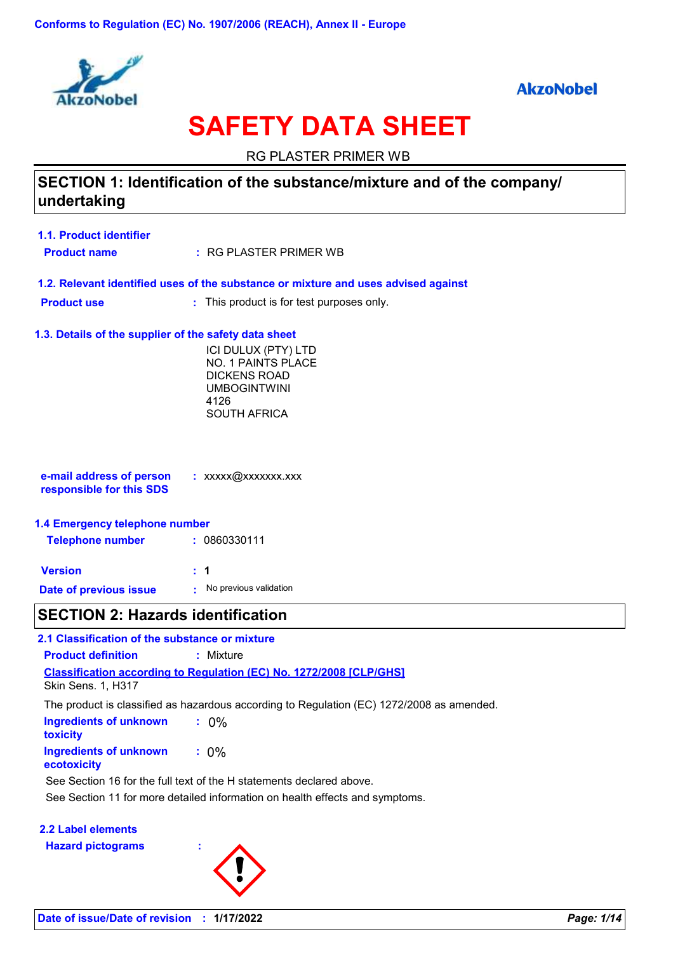



# **SAFETY DATA SHEET**

RG PLASTER PRIMER WB

# **SECTION 1: Identification of the substance/mixture and of the company/ undertaking**

**Product name 1.1. Product identifier**

RG PLASTER PRIMER WB **:**

- **1.2. Relevant identified uses of the substance or mixture and uses advised against**
- **Product use :** : This product is for test purposes only.

### **1.3. Details of the supplier of the safety data sheet**

ICI DULUX (PTY) LTD NO. 1 PAINTS PLACE DICKENS ROAD UMBOGINTWINI 4126 SOUTH AFRICA

| e-mail address of person | : $XXXX$ $@XXXXXX$ $XXXX$ |
|--------------------------|---------------------------|
| responsible for this SDS |                           |
|                          |                           |

### **1.4 Emergency telephone number**

| <b>Telephone number</b> | : 0860330111           |
|-------------------------|------------------------|
| <b>Version</b>          | : 1                    |
| Date of previous issue  | No previous validation |

### **SECTION 2: Hazards identification**

### **2.1 Classification of the substance or mixture**

**Classification according to Regulation (EC) No. 1272/2008 [CLP/GHS] Product definition :** Mixture

Skin Sens. 1, H317

The product is classified as hazardous according to Regulation (EC) 1272/2008 as amended.

| Ingredients of unknown<br>toxicity    | $: 0\%$ |
|---------------------------------------|---------|
| Ingredients of unknown<br>ecotoxicity | $: 0\%$ |

See Section 16 for the full text of the H statements declared above.

See Section 11 for more detailed information on health effects and symptoms.

### **2.2 Label elements**

**Hazard pictograms :**

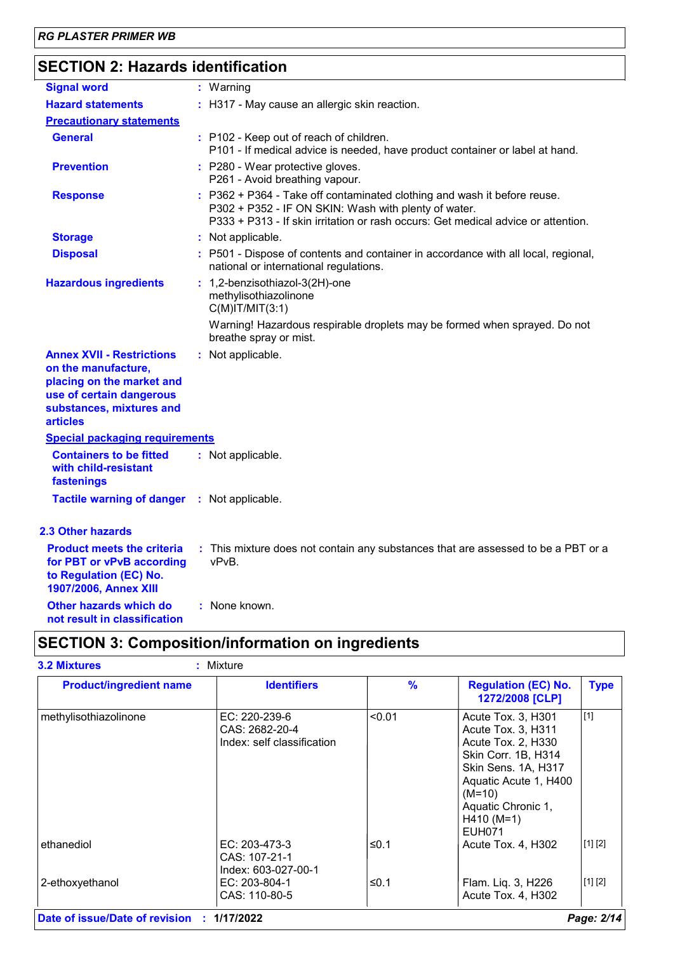# **SECTION 2: Hazards identification**

| <b>Signal word</b>                                                                                                                                              | : Warning                                                                                                                                                                                                             |
|-----------------------------------------------------------------------------------------------------------------------------------------------------------------|-----------------------------------------------------------------------------------------------------------------------------------------------------------------------------------------------------------------------|
| <b>Hazard statements</b>                                                                                                                                        | : H317 - May cause an allergic skin reaction.                                                                                                                                                                         |
| <b>Precautionary statements</b>                                                                                                                                 |                                                                                                                                                                                                                       |
| <b>General</b>                                                                                                                                                  | : P102 - Keep out of reach of children.<br>P101 - If medical advice is needed, have product container or label at hand.                                                                                               |
| <b>Prevention</b>                                                                                                                                               | : P280 - Wear protective gloves.<br>P261 - Avoid breathing vapour.                                                                                                                                                    |
| <b>Response</b>                                                                                                                                                 | : P362 + P364 - Take off contaminated clothing and wash it before reuse.<br>P302 + P352 - IF ON SKIN: Wash with plenty of water.<br>P333 + P313 - If skin irritation or rash occurs: Get medical advice or attention. |
| <b>Storage</b>                                                                                                                                                  | : Not applicable.                                                                                                                                                                                                     |
| <b>Disposal</b>                                                                                                                                                 | : P501 - Dispose of contents and container in accordance with all local, regional,<br>national or international regulations.                                                                                          |
| <b>Hazardous ingredients</b>                                                                                                                                    | : 1,2-benzisothiazol-3(2H)-one<br>methylisothiazolinone<br>$C(M)$ IT/MIT $(3:1)$                                                                                                                                      |
|                                                                                                                                                                 | Warning! Hazardous respirable droplets may be formed when sprayed. Do not<br>breathe spray or mist.                                                                                                                   |
| <b>Annex XVII - Restrictions</b><br>on the manufacture,<br>placing on the market and<br>use of certain dangerous<br>substances, mixtures and<br><b>articles</b> | : Not applicable.                                                                                                                                                                                                     |
| <b>Special packaging requirements</b>                                                                                                                           |                                                                                                                                                                                                                       |
| <b>Containers to be fitted</b><br>with child-resistant<br>fastenings                                                                                            | : Not applicable.                                                                                                                                                                                                     |
| <b>Tactile warning of danger</b>                                                                                                                                | : Not applicable.                                                                                                                                                                                                     |
| 2.3 Other hazards                                                                                                                                               |                                                                                                                                                                                                                       |
| <b>Product meets the criteria</b><br>for PBT or vPvB according<br>to Regulation (EC) No.<br>1907/2006, Annex XIII                                               | : This mixture does not contain any substances that are assessed to be a PBT or a<br>vPvB.                                                                                                                            |
| Other hazards which do                                                                                                                                          | : None known.                                                                                                                                                                                                         |

**not result in classification**

# **SECTION 3: Composition/information on ingredients**

| <b>Product/ingredient name</b> | <b>Identifiers</b>                                            | $\%$   | <b>Regulation (EC) No.</b><br>1272/2008 [CLP]                                                                                                                                                            | <b>Type</b> |
|--------------------------------|---------------------------------------------------------------|--------|----------------------------------------------------------------------------------------------------------------------------------------------------------------------------------------------------------|-------------|
| methylisothiazolinone          | EC: 220-239-6<br>CAS: 2682-20-4<br>Index: self classification | < 0.01 | Acute Tox. 3, H301<br>Acute Tox. 3, H311<br>Acute Tox. 2, H330<br>Skin Corr. 1B, H314<br>Skin Sens. 1A, H317<br>Aquatic Acute 1, H400<br>$(M=10)$<br>Aquatic Chronic 1,<br>$H410 (M=1)$<br><b>EUH071</b> | $[1]$       |
| ethanediol                     | $EC: 203-473-3$<br>CAS: 107-21-1<br>Index: 603-027-00-1       | ≤0.1   | Acute Tox. 4, H302                                                                                                                                                                                       | [1] [2]     |
| 2-ethoxyethanol                | EC: 203-804-1<br>CAS: 110-80-5                                | ≤0.1   | Flam. Liq. 3, H226<br>Acute Tox. 4, H302                                                                                                                                                                 | [1] [2]     |

**Date of issue/Date of revision : 1/17/2022** *Page: 2/14*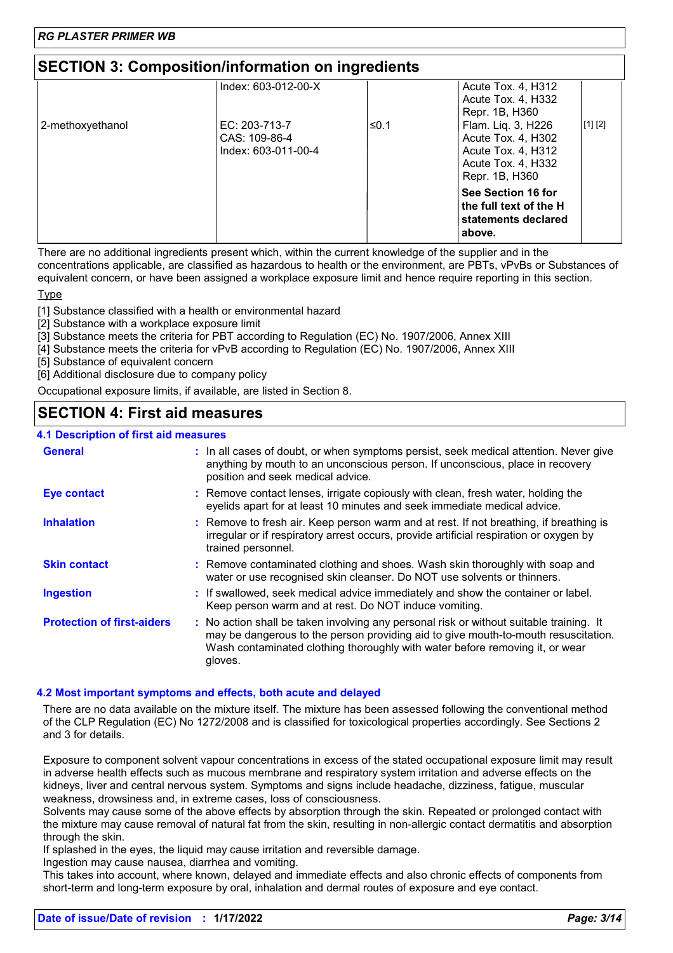# **SECTION 3: Composition/information on ingredients**

|                  | Index: 603-012-00-X                                   |      | Acute Tox. 4, H312<br>Acute Tox. 4, H332<br>Repr. 1B, H360                                             |         |
|------------------|-------------------------------------------------------|------|--------------------------------------------------------------------------------------------------------|---------|
| 2-methoxyethanol | EC: 203-713-7<br>CAS: 109-86-4<br>Index: 603-011-00-4 | ≤0.1 | Flam. Liq. 3, H226<br>Acute Tox. 4, H302<br>Acute Tox. 4, H312<br>Acute Tox. 4, H332<br>Repr. 1B, H360 | [1] [2] |
|                  |                                                       |      | See Section 16 for<br>the full text of the H<br>statements declared<br>above.                          |         |

There are no additional ingredients present which, within the current knowledge of the supplier and in the concentrations applicable, are classified as hazardous to health or the environment, are PBTs, vPvBs or Substances of equivalent concern, or have been assigned a workplace exposure limit and hence require reporting in this section.

**Type** 

[1] Substance classified with a health or environmental hazard

[2] Substance with a workplace exposure limit

[3] Substance meets the criteria for PBT according to Regulation (EC) No. 1907/2006, Annex XIII

[4] Substance meets the criteria for vPvB according to Regulation (EC) No. 1907/2006, Annex XIII

[5] Substance of equivalent concern

[6] Additional disclosure due to company policy

Occupational exposure limits, if available, are listed in Section 8.

### **SECTION 4: First aid measures**

#### **4.1 Description of first aid measures**

| <b>General</b>                    | : In all cases of doubt, or when symptoms persist, seek medical attention. Never give<br>anything by mouth to an unconscious person. If unconscious, place in recovery<br>position and seek medical advice.                                                              |
|-----------------------------------|--------------------------------------------------------------------------------------------------------------------------------------------------------------------------------------------------------------------------------------------------------------------------|
| <b>Eye contact</b>                | : Remove contact lenses, irrigate copiously with clean, fresh water, holding the<br>eyelids apart for at least 10 minutes and seek immediate medical advice.                                                                                                             |
| <b>Inhalation</b>                 | : Remove to fresh air. Keep person warm and at rest. If not breathing, if breathing is<br>irregular or if respiratory arrest occurs, provide artificial respiration or oxygen by<br>trained personnel.                                                                   |
| <b>Skin contact</b>               | : Remove contaminated clothing and shoes. Wash skin thoroughly with soap and<br>water or use recognised skin cleanser. Do NOT use solvents or thinners.                                                                                                                  |
| <b>Ingestion</b>                  | : If swallowed, seek medical advice immediately and show the container or label.<br>Keep person warm and at rest. Do NOT induce vomiting.                                                                                                                                |
| <b>Protection of first-aiders</b> | : No action shall be taken involving any personal risk or without suitable training. It<br>may be dangerous to the person providing aid to give mouth-to-mouth resuscitation.<br>Wash contaminated clothing thoroughly with water before removing it, or wear<br>gloves. |

### **4.2 Most important symptoms and effects, both acute and delayed**

There are no data available on the mixture itself. The mixture has been assessed following the conventional method of the CLP Regulation (EC) No 1272/2008 and is classified for toxicological properties accordingly. See Sections 2 and 3 for details.

Exposure to component solvent vapour concentrations in excess of the stated occupational exposure limit may result in adverse health effects such as mucous membrane and respiratory system irritation and adverse effects on the kidneys, liver and central nervous system. Symptoms and signs include headache, dizziness, fatigue, muscular weakness, drowsiness and, in extreme cases, loss of consciousness.

Solvents may cause some of the above effects by absorption through the skin. Repeated or prolonged contact with the mixture may cause removal of natural fat from the skin, resulting in non-allergic contact dermatitis and absorption through the skin.

If splashed in the eyes, the liquid may cause irritation and reversible damage.

Ingestion may cause nausea, diarrhea and vomiting.

This takes into account, where known, delayed and immediate effects and also chronic effects of components from short-term and long-term exposure by oral, inhalation and dermal routes of exposure and eye contact.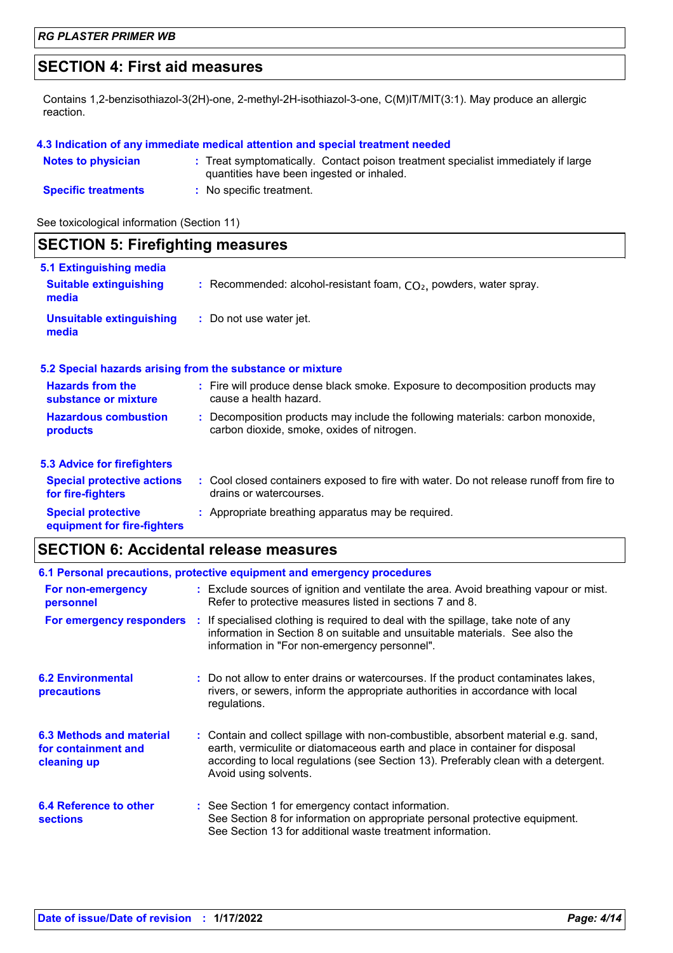# **SECTION 4: First aid measures**

Contains 1,2-benzisothiazol-3(2H)-one, 2-methyl-2H-isothiazol-3-one, C(M)IT/MIT(3:1). May produce an allergic reaction.

### **4.3 Indication of any immediate medical attention and special treatment needed**

| <b>Notes to physician</b>  | : Treat symptomatically. Contact poison treatment specialist immediately if large<br>quantities have been ingested or inhaled. |
|----------------------------|--------------------------------------------------------------------------------------------------------------------------------|
| <b>Specific treatments</b> | No specific treatment.                                                                                                         |

See toxicological information (Section 11)

| <b>SECTION 5: Firefighting measures</b>                           |                                                                                                                              |  |
|-------------------------------------------------------------------|------------------------------------------------------------------------------------------------------------------------------|--|
| 5.1 Extinguishing media<br><b>Suitable extinguishing</b><br>media | : Recommended: alcohol-resistant foam, $CO2$ , powders, water spray.                                                         |  |
| <b>Unsuitable extinguishing</b><br>media                          | : Do not use water jet.                                                                                                      |  |
|                                                                   | 5.2 Special hazards arising from the substance or mixture                                                                    |  |
| <b>Hazards from the</b><br>substance or mixture                   | : Fire will produce dense black smoke. Exposure to decomposition products may<br>cause a health hazard.                      |  |
| <b>Hazardous combustion</b><br>products                           | : Decomposition products may include the following materials: carbon monoxide,<br>carbon dioxide, smoke, oxides of nitrogen. |  |
| <b>5.3 Advice for firefighters</b>                                |                                                                                                                              |  |
| <b>Special protective actions</b><br>for fire-fighters            | : Cool closed containers exposed to fire with water. Do not release runoff from fire to<br>drains or watercourses.           |  |
| <b>Special protective</b><br>equipment for fire-fighters          | : Appropriate breathing apparatus may be required.                                                                           |  |

# **SECTION 6: Accidental release measures**

| 6.1 Personal precautions, protective equipment and emergency procedures |  |                                                                                                                                                                                                                                                                                    |
|-------------------------------------------------------------------------|--|------------------------------------------------------------------------------------------------------------------------------------------------------------------------------------------------------------------------------------------------------------------------------------|
| For non-emergency<br>personnel                                          |  | : Exclude sources of ignition and ventilate the area. Avoid breathing vapour or mist.<br>Refer to protective measures listed in sections 7 and 8.                                                                                                                                  |
| For emergency responders                                                |  | : If specialised clothing is required to deal with the spillage, take note of any<br>information in Section 8 on suitable and unsuitable materials. See also the<br>information in "For non-emergency personnel".                                                                  |
| <b>6.2 Environmental</b><br>precautions                                 |  | : Do not allow to enter drains or watercourses. If the product contaminates lakes,<br>rivers, or sewers, inform the appropriate authorities in accordance with local<br>regulations.                                                                                               |
| 6.3 Methods and material<br>for containment and<br>cleaning up          |  | : Contain and collect spillage with non-combustible, absorbent material e.g. sand,<br>earth, vermiculite or diatomaceous earth and place in container for disposal<br>according to local regulations (see Section 13). Preferably clean with a detergent.<br>Avoid using solvents. |
| 6.4 Reference to other<br><b>sections</b>                               |  | : See Section 1 for emergency contact information.<br>See Section 8 for information on appropriate personal protective equipment.<br>See Section 13 for additional waste treatment information.                                                                                    |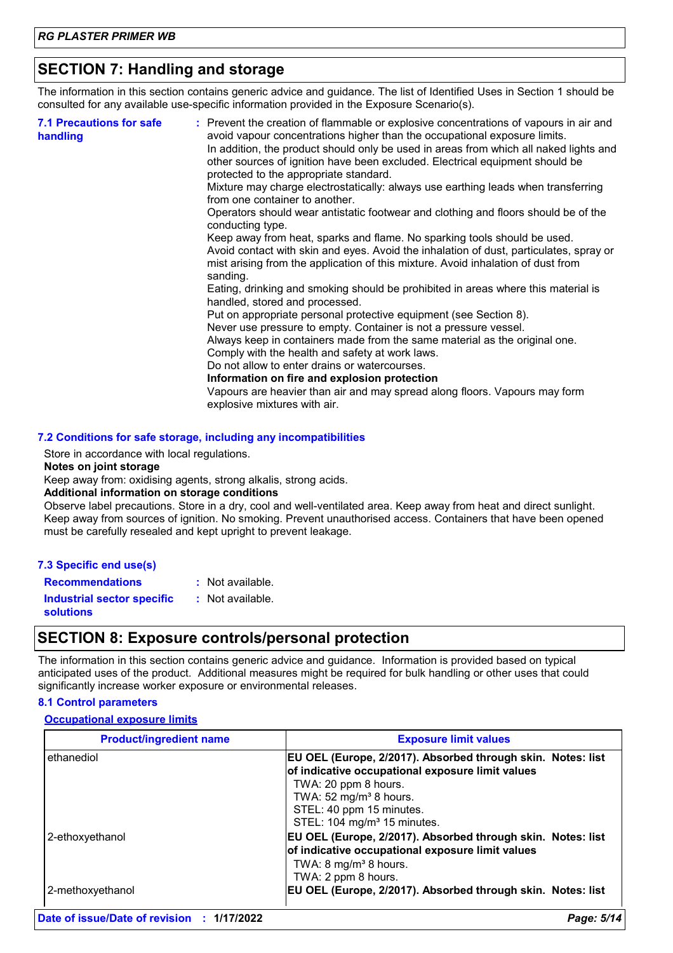# **SECTION 7: Handling and storage**

The information in this section contains generic advice and guidance. The list of Identified Uses in Section 1 should be consulted for any available use-specific information provided in the Exposure Scenario(s).

| <b>7.1 Precautions for safe</b><br>handling | : Prevent the creation of flammable or explosive concentrations of vapours in air and<br>avoid vapour concentrations higher than the occupational exposure limits.<br>In addition, the product should only be used in areas from which all naked lights and<br>other sources of ignition have been excluded. Electrical equipment should be<br>protected to the appropriate standard.<br>Mixture may charge electrostatically: always use earthing leads when transferring<br>from one container to another.<br>Operators should wear antistatic footwear and clothing and floors should be of the<br>conducting type.<br>Keep away from heat, sparks and flame. No sparking tools should be used.<br>Avoid contact with skin and eyes. Avoid the inhalation of dust, particulates, spray or<br>mist arising from the application of this mixture. Avoid inhalation of dust from<br>sanding.<br>Eating, drinking and smoking should be prohibited in areas where this material is<br>handled, stored and processed.<br>Put on appropriate personal protective equipment (see Section 8).<br>Never use pressure to empty. Container is not a pressure vessel.<br>Always keep in containers made from the same material as the original one.<br>Comply with the health and safety at work laws.<br>Do not allow to enter drains or watercourses.<br>Information on fire and explosion protection<br>Vapours are heavier than air and may spread along floors. Vapours may form<br>explosive mixtures with air. |
|---------------------------------------------|--------------------------------------------------------------------------------------------------------------------------------------------------------------------------------------------------------------------------------------------------------------------------------------------------------------------------------------------------------------------------------------------------------------------------------------------------------------------------------------------------------------------------------------------------------------------------------------------------------------------------------------------------------------------------------------------------------------------------------------------------------------------------------------------------------------------------------------------------------------------------------------------------------------------------------------------------------------------------------------------------------------------------------------------------------------------------------------------------------------------------------------------------------------------------------------------------------------------------------------------------------------------------------------------------------------------------------------------------------------------------------------------------------------------------------------------------------------------------------------------------------------|
|---------------------------------------------|--------------------------------------------------------------------------------------------------------------------------------------------------------------------------------------------------------------------------------------------------------------------------------------------------------------------------------------------------------------------------------------------------------------------------------------------------------------------------------------------------------------------------------------------------------------------------------------------------------------------------------------------------------------------------------------------------------------------------------------------------------------------------------------------------------------------------------------------------------------------------------------------------------------------------------------------------------------------------------------------------------------------------------------------------------------------------------------------------------------------------------------------------------------------------------------------------------------------------------------------------------------------------------------------------------------------------------------------------------------------------------------------------------------------------------------------------------------------------------------------------------------|

### **7.2 Conditions for safe storage, including any incompatibilities**

Store in accordance with local regulations.

**Notes on joint storage**

Keep away from: oxidising agents, strong alkalis, strong acids.

### **Additional information on storage conditions**

Observe label precautions. Store in a dry, cool and well-ventilated area. Keep away from heat and direct sunlight. Keep away from sources of ignition. No smoking. Prevent unauthorised access. Containers that have been opened must be carefully resealed and kept upright to prevent leakage.

| 7.3 Specific end use(s)                               |                  |
|-------------------------------------------------------|------------------|
| <b>Recommendations</b>                                | : Not available. |
| <b>Industrial sector specific</b><br><b>solutions</b> | : Not available. |

### **SECTION 8: Exposure controls/personal protection**

The information in this section contains generic advice and guidance. Information is provided based on typical anticipated uses of the product. Additional measures might be required for bulk handling or other uses that could significantly increase worker exposure or environmental releases.

### **8.1 Control parameters**

### **Occupational exposure limits**

| <b>Product/ingredient name</b> | <b>Exposure limit values</b>                                                                                                                                                                                                                        |
|--------------------------------|-----------------------------------------------------------------------------------------------------------------------------------------------------------------------------------------------------------------------------------------------------|
| ethanediol                     | EU OEL (Europe, 2/2017). Absorbed through skin. Notes: list<br>of indicative occupational exposure limit values<br>TWA: 20 ppm 8 hours.<br>TWA: $52 \text{ mg/m}^3$ 8 hours.<br>STEL: 40 ppm 15 minutes.<br>STEL: 104 mg/m <sup>3</sup> 15 minutes. |
| 2-ethoxyethanol                | EU OEL (Europe, 2/2017). Absorbed through skin. Notes: list<br>of indicative occupational exposure limit values<br>TWA: $8 \text{ mg/m}^3$ 8 hours.<br>TWA: 2 ppm 8 hours.                                                                          |
| 2-methoxyethanol               | EU OEL (Europe, 2/2017). Absorbed through skin. Notes: list                                                                                                                                                                                         |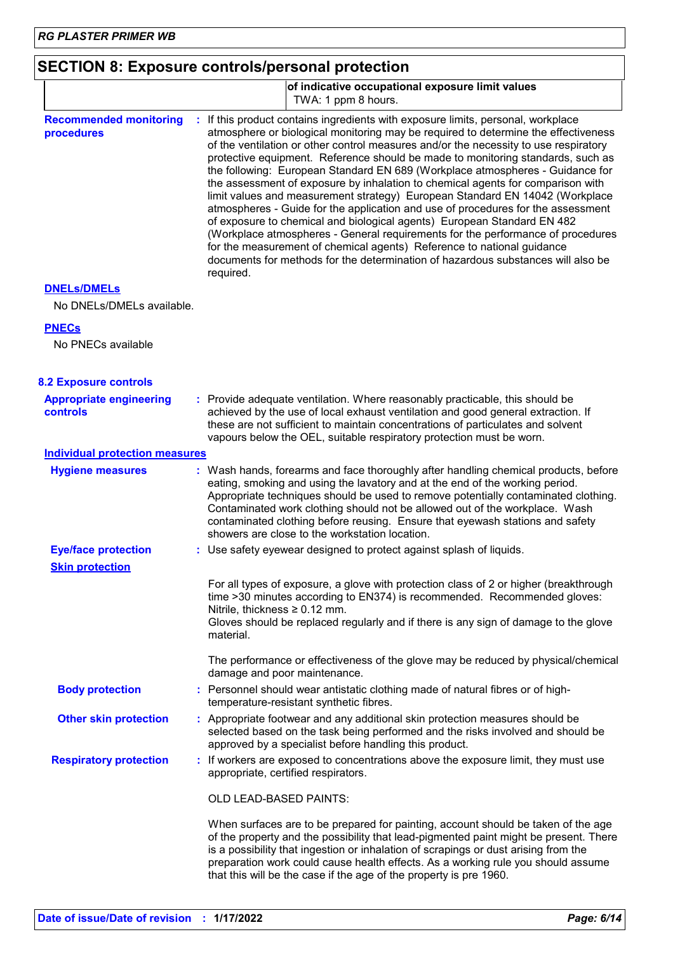| <b>SECTION 8: Exposure controls/personal protection</b> |  |
|---------------------------------------------------------|--|
|---------------------------------------------------------|--|

|                                                   | of indicative occupational exposure limit values<br>TWA: 1 ppm 8 hours.                                                                                                                                                                                                                                                                                                                                                                                                                                                                                                                                                                                                                                                                                                                                                                                                                                                                                                                                                          |
|---------------------------------------------------|----------------------------------------------------------------------------------------------------------------------------------------------------------------------------------------------------------------------------------------------------------------------------------------------------------------------------------------------------------------------------------------------------------------------------------------------------------------------------------------------------------------------------------------------------------------------------------------------------------------------------------------------------------------------------------------------------------------------------------------------------------------------------------------------------------------------------------------------------------------------------------------------------------------------------------------------------------------------------------------------------------------------------------|
| <b>Recommended monitoring</b><br>procedures       | If this product contains ingredients with exposure limits, personal, workplace<br>atmosphere or biological monitoring may be required to determine the effectiveness<br>of the ventilation or other control measures and/or the necessity to use respiratory<br>protective equipment. Reference should be made to monitoring standards, such as<br>the following: European Standard EN 689 (Workplace atmospheres - Guidance for<br>the assessment of exposure by inhalation to chemical agents for comparison with<br>limit values and measurement strategy) European Standard EN 14042 (Workplace<br>atmospheres - Guide for the application and use of procedures for the assessment<br>of exposure to chemical and biological agents) European Standard EN 482<br>(Workplace atmospheres - General requirements for the performance of procedures<br>for the measurement of chemical agents) Reference to national guidance<br>documents for methods for the determination of hazardous substances will also be<br>required. |
| <b>DNELS/DMELS</b><br>No DNELs/DMELs available.   |                                                                                                                                                                                                                                                                                                                                                                                                                                                                                                                                                                                                                                                                                                                                                                                                                                                                                                                                                                                                                                  |
| <b>PNECs</b><br>No PNECs available                |                                                                                                                                                                                                                                                                                                                                                                                                                                                                                                                                                                                                                                                                                                                                                                                                                                                                                                                                                                                                                                  |
| <b>8.2 Exposure controls</b>                      |                                                                                                                                                                                                                                                                                                                                                                                                                                                                                                                                                                                                                                                                                                                                                                                                                                                                                                                                                                                                                                  |
| <b>Appropriate engineering</b><br><b>controls</b> | : Provide adequate ventilation. Where reasonably practicable, this should be<br>achieved by the use of local exhaust ventilation and good general extraction. If<br>these are not sufficient to maintain concentrations of particulates and solvent<br>vapours below the OEL, suitable respiratory protection must be worn.                                                                                                                                                                                                                                                                                                                                                                                                                                                                                                                                                                                                                                                                                                      |
| <b>Individual protection measures</b>             |                                                                                                                                                                                                                                                                                                                                                                                                                                                                                                                                                                                                                                                                                                                                                                                                                                                                                                                                                                                                                                  |
| <b>Hygiene measures</b>                           | : Wash hands, forearms and face thoroughly after handling chemical products, before<br>eating, smoking and using the lavatory and at the end of the working period.<br>Appropriate techniques should be used to remove potentially contaminated clothing.<br>Contaminated work clothing should not be allowed out of the workplace. Wash<br>contaminated clothing before reusing. Ensure that eyewash stations and safety<br>showers are close to the workstation location.                                                                                                                                                                                                                                                                                                                                                                                                                                                                                                                                                      |
| <b>Eye/face protection</b>                        | : Use safety eyewear designed to protect against splash of liquids.                                                                                                                                                                                                                                                                                                                                                                                                                                                                                                                                                                                                                                                                                                                                                                                                                                                                                                                                                              |
| <b>Skin protection</b>                            | For all types of exposure, a glove with protection class of 2 or higher (breakthrough<br>time >30 minutes according to EN374) is recommended. Recommended gloves:<br>Nitrile, thickness $\geq 0.12$ mm.<br>Gloves should be replaced regularly and if there is any sign of damage to the glove<br>material.                                                                                                                                                                                                                                                                                                                                                                                                                                                                                                                                                                                                                                                                                                                      |
|                                                   | The performance or effectiveness of the glove may be reduced by physical/chemical<br>damage and poor maintenance.                                                                                                                                                                                                                                                                                                                                                                                                                                                                                                                                                                                                                                                                                                                                                                                                                                                                                                                |
| <b>Body protection</b>                            | : Personnel should wear antistatic clothing made of natural fibres or of high-<br>temperature-resistant synthetic fibres.                                                                                                                                                                                                                                                                                                                                                                                                                                                                                                                                                                                                                                                                                                                                                                                                                                                                                                        |
| <b>Other skin protection</b>                      | : Appropriate footwear and any additional skin protection measures should be<br>selected based on the task being performed and the risks involved and should be<br>approved by a specialist before handling this product.                                                                                                                                                                                                                                                                                                                                                                                                                                                                                                                                                                                                                                                                                                                                                                                                        |
| <b>Respiratory protection</b>                     | : If workers are exposed to concentrations above the exposure limit, they must use<br>appropriate, certified respirators.                                                                                                                                                                                                                                                                                                                                                                                                                                                                                                                                                                                                                                                                                                                                                                                                                                                                                                        |
|                                                   | OLD LEAD-BASED PAINTS:                                                                                                                                                                                                                                                                                                                                                                                                                                                                                                                                                                                                                                                                                                                                                                                                                                                                                                                                                                                                           |
|                                                   | When surfaces are to be prepared for painting, account should be taken of the age<br>of the property and the possibility that lead-pigmented paint might be present. There<br>is a possibility that ingestion or inhalation of scrapings or dust arising from the<br>preparation work could cause health effects. As a working rule you should assume<br>that this will be the case if the age of the property is pre 1960.                                                                                                                                                                                                                                                                                                                                                                                                                                                                                                                                                                                                      |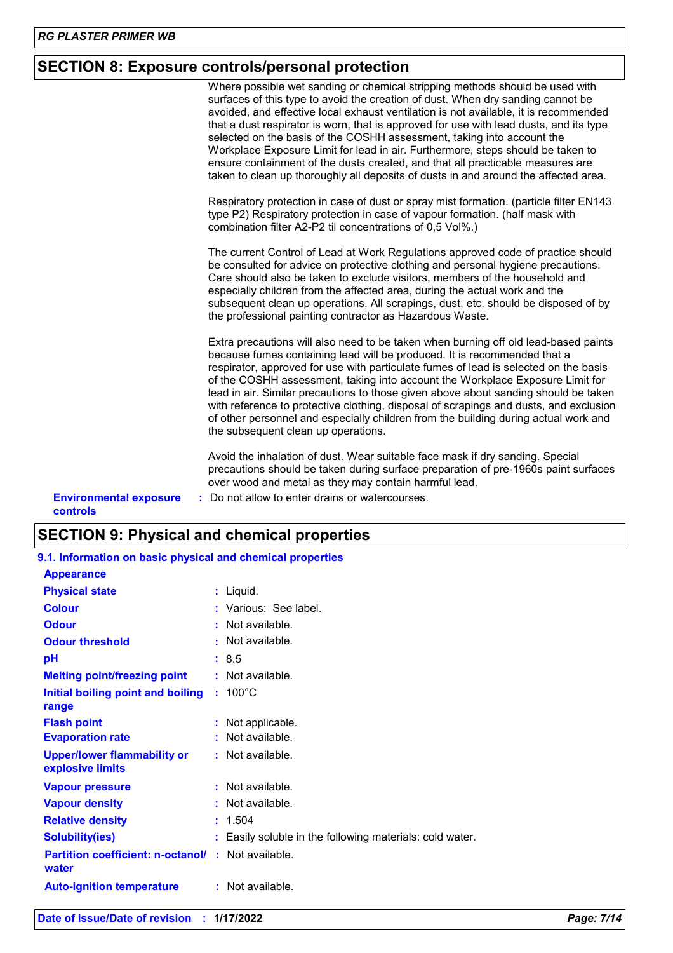# **SECTION 8: Exposure controls/personal protection**

|                                                  | Where possible wet sanding or chemical stripping methods should be used with<br>surfaces of this type to avoid the creation of dust. When dry sanding cannot be<br>avoided, and effective local exhaust ventilation is not available, it is recommended<br>that a dust respirator is worn, that is approved for use with lead dusts, and its type<br>selected on the basis of the COSHH assessment, taking into account the<br>Workplace Exposure Limit for lead in air. Furthermore, steps should be taken to<br>ensure containment of the dusts created, and that all practicable measures are<br>taken to clean up thoroughly all deposits of dusts in and around the affected area.<br>Respiratory protection in case of dust or spray mist formation. (particle filter EN143<br>type P2) Respiratory protection in case of vapour formation. (half mask with |
|--------------------------------------------------|-------------------------------------------------------------------------------------------------------------------------------------------------------------------------------------------------------------------------------------------------------------------------------------------------------------------------------------------------------------------------------------------------------------------------------------------------------------------------------------------------------------------------------------------------------------------------------------------------------------------------------------------------------------------------------------------------------------------------------------------------------------------------------------------------------------------------------------------------------------------|
|                                                  | combination filter A2-P2 til concentrations of 0,5 Vol%.)<br>The current Control of Lead at Work Regulations approved code of practice should<br>be consulted for advice on protective clothing and personal hygiene precautions.<br>Care should also be taken to exclude visitors, members of the household and<br>especially children from the affected area, during the actual work and the<br>subsequent clean up operations. All scrapings, dust, etc. should be disposed of by<br>the professional painting contractor as Hazardous Waste.                                                                                                                                                                                                                                                                                                                  |
|                                                  | Extra precautions will also need to be taken when burning off old lead-based paints<br>because fumes containing lead will be produced. It is recommended that a<br>respirator, approved for use with particulate fumes of lead is selected on the basis<br>of the COSHH assessment, taking into account the Workplace Exposure Limit for<br>lead in air. Similar precautions to those given above about sanding should be taken<br>with reference to protective clothing, disposal of scrapings and dusts, and exclusion<br>of other personnel and especially children from the building during actual work and<br>the subsequent clean up operations.                                                                                                                                                                                                            |
| <b>Environmental exposure</b><br><b>controls</b> | Avoid the inhalation of dust. Wear suitable face mask if dry sanding. Special<br>precautions should be taken during surface preparation of pre-1960s paint surfaces<br>over wood and metal as they may contain harmful lead.<br>: Do not allow to enter drains or watercourses.                                                                                                                                                                                                                                                                                                                                                                                                                                                                                                                                                                                   |

# **SECTION 9: Physical and chemical properties**

| 9.1. Information on basic physical and chemical properties         |                                                          |
|--------------------------------------------------------------------|----------------------------------------------------------|
| <b>Appearance</b>                                                  |                                                          |
| <b>Physical state</b>                                              | : Liquid.                                                |
| <b>Colour</b>                                                      | : Various: See label.                                    |
| <b>Odour</b>                                                       | $:$ Not available.                                       |
| <b>Odour threshold</b>                                             | : Not available.                                         |
| рH                                                                 | : 8.5                                                    |
| <b>Melting point/freezing point</b>                                | $:$ Not available.                                       |
| Initial boiling point and boiling<br>range                         | $: 100^{\circ}$ C                                        |
| <b>Flash point</b>                                                 | : Not applicable.                                        |
| <b>Evaporation rate</b>                                            | : Not available.                                         |
| <b>Upper/lower flammability or</b><br>explosive limits             | : Not available.                                         |
| <b>Vapour pressure</b>                                             | : Not available.                                         |
| <b>Vapour density</b>                                              | $:$ Not available.                                       |
| <b>Relative density</b>                                            | : 1.504                                                  |
| <b>Solubility(ies)</b>                                             | : Easily soluble in the following materials: cold water. |
| <b>Partition coefficient: n-octanol/ : Not available.</b><br>water |                                                          |
| <b>Auto-ignition temperature</b>                                   | $:$ Not available.                                       |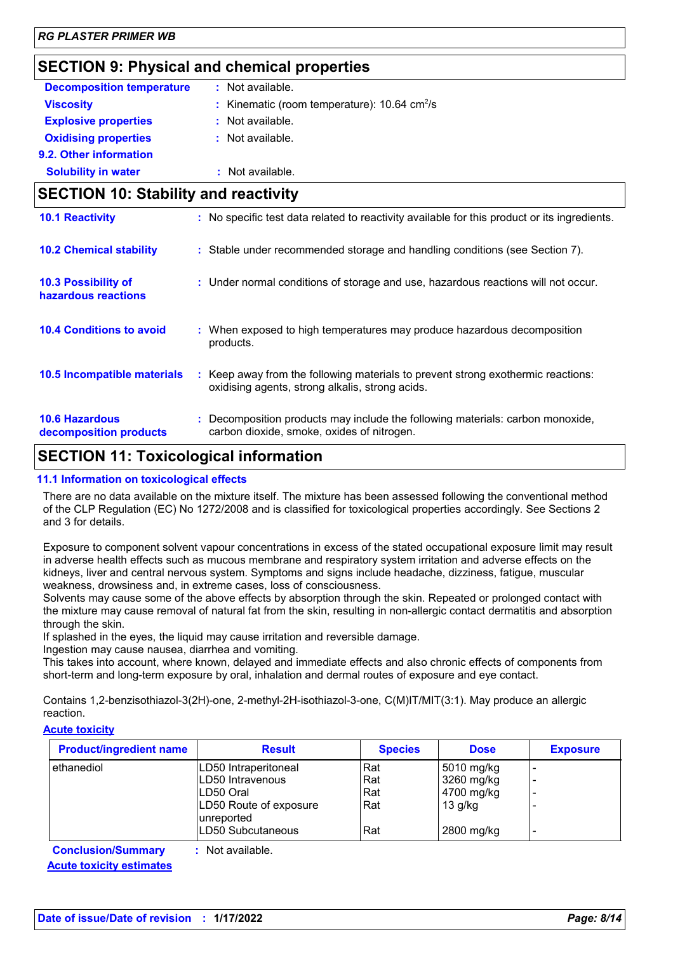# **SECTION 9: Physical and chemical properties**

| <b>Decomposition temperature</b>                  | : Not available.                                                                                                                    |
|---------------------------------------------------|-------------------------------------------------------------------------------------------------------------------------------------|
| <b>Viscosity</b>                                  | Kinematic (room temperature): 10.64 cm <sup>2</sup> /s                                                                              |
| <b>Explosive properties</b>                       | : Not available.                                                                                                                    |
| <b>Oxidising properties</b>                       | : Not available.                                                                                                                    |
| 9.2. Other information                            |                                                                                                                                     |
| <b>Solubility in water</b>                        | : Not available.                                                                                                                    |
| <b>SECTION 10: Stability and reactivity</b>       |                                                                                                                                     |
| <b>10.1 Reactivity</b>                            | : No specific test data related to reactivity available for this product or its ingredients.                                        |
| <b>10.2 Chemical stability</b>                    | : Stable under recommended storage and handling conditions (see Section 7).                                                         |
| <b>10.3 Possibility of</b><br>hazardous reactions | : Under normal conditions of storage and use, hazardous reactions will not occur.                                                   |
| <b>10.4 Conditions to avoid</b>                   | : When exposed to high temperatures may produce hazardous decomposition<br>products.                                                |
| 10.5 Incompatible materials                       | : Keep away from the following materials to prevent strong exothermic reactions:<br>oxidising agents, strong alkalis, strong acids. |
| <b>10.6 Hazardous</b><br>decomposition products   | Decomposition products may include the following materials: carbon monoxide,<br>carbon dioxide, smoke, oxides of nitrogen.          |

# **SECTION 11: Toxicological information**

### **11.1 Information on toxicological effects**

There are no data available on the mixture itself. The mixture has been assessed following the conventional method of the CLP Regulation (EC) No 1272/2008 and is classified for toxicological properties accordingly. See Sections 2 and 3 for details.

Exposure to component solvent vapour concentrations in excess of the stated occupational exposure limit may result in adverse health effects such as mucous membrane and respiratory system irritation and adverse effects on the kidneys, liver and central nervous system. Symptoms and signs include headache, dizziness, fatigue, muscular weakness, drowsiness and, in extreme cases, loss of consciousness.

Solvents may cause some of the above effects by absorption through the skin. Repeated or prolonged contact with the mixture may cause removal of natural fat from the skin, resulting in non-allergic contact dermatitis and absorption through the skin.

If splashed in the eyes, the liquid may cause irritation and reversible damage.

Ingestion may cause nausea, diarrhea and vomiting.

This takes into account, where known, delayed and immediate effects and also chronic effects of components from short-term and long-term exposure by oral, inhalation and dermal routes of exposure and eye contact.

Contains 1,2-benzisothiazol-3(2H)-one, 2-methyl-2H-isothiazol-3-one, C(M)IT/MIT(3:1). May produce an allergic reaction.

### **Acute toxicity**

| <b>Product/ingredient name</b> | <b>Result</b>                        | <b>Species</b> | <b>Dose</b> | <b>Exposure</b> |
|--------------------------------|--------------------------------------|----------------|-------------|-----------------|
| l ethanediol                   | LD50 Intraperitoneal                 | Rat            | 5010 mg/kg  |                 |
|                                | LD50 Intravenous                     | Rat            | 3260 mg/kg  |                 |
|                                | LD50 Oral                            | Rat            | 4700 mg/kg  |                 |
|                                | LD50 Route of exposure<br>unreported | Rat            | $13$ g/kg   |                 |
|                                | LD50 Subcutaneous                    | Rat            | 2800 mg/kg  |                 |
| Conclusion Cummany             | . Not ovojlabla                      |                |             |                 |

**Conclusion/Summary :** Not available. **Acute toxicity estimates**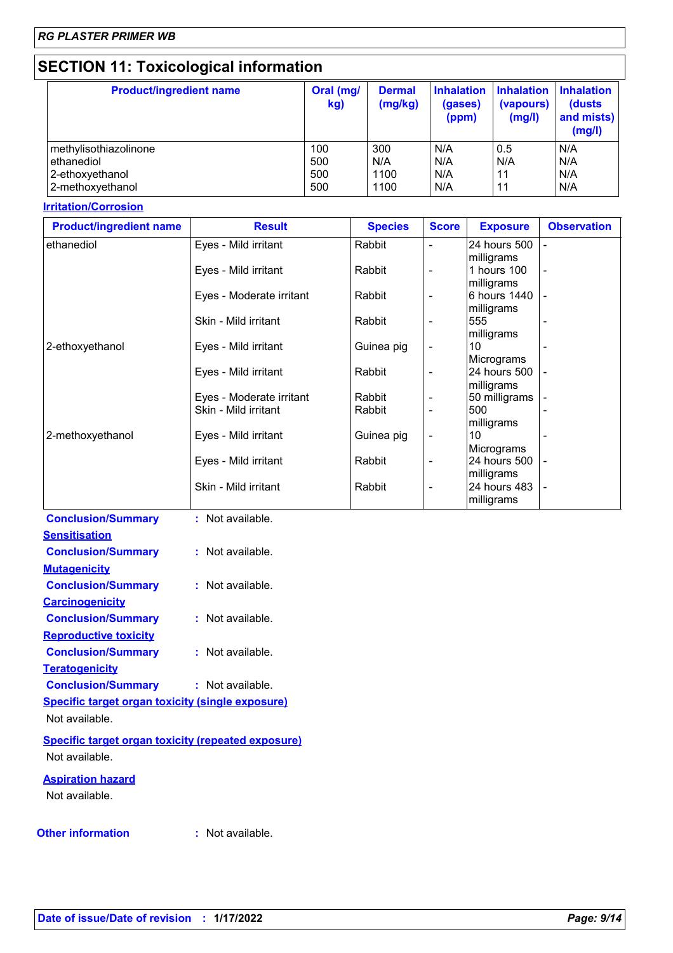# **SECTION 11: Toxicological information**

| <b>Product/ingredient name</b> | Oral (mg/<br>kg) | <b>Dermal</b><br>(mg/kg) | <b>Inhalation</b><br>(gases)<br>(ppm) | <b>Inhalation Inhalation</b><br>(vapours)<br>(mg/l) | (dusts<br>and mists)<br>(mg/l) |
|--------------------------------|------------------|--------------------------|---------------------------------------|-----------------------------------------------------|--------------------------------|
| methylisothiazolinone          | 100              | 300                      | N/A                                   | 0.5                                                 | N/A                            |
| ethanediol                     | 500              | N/A                      | N/A                                   | N/A                                                 | N/A                            |
| 2-ethoxyethanol                | 500              | 1100                     | N/A                                   | 11                                                  | N/A                            |
| 2-methoxyethanol               | 500              | 1100                     | N/A                                   | 11                                                  | N/A                            |

### **Irritation/Corrosion**

| <b>Product/ingredient name</b> | <b>Result</b>            | <b>Species</b> | <b>Score</b>             | <b>Exposure</b>   | <b>Observation</b> |
|--------------------------------|--------------------------|----------------|--------------------------|-------------------|--------------------|
| ethanediol                     | Eyes - Mild irritant     | Rabbit         | $\blacksquare$           | 24 hours 500      |                    |
|                                |                          |                |                          | milligrams        |                    |
|                                | Eyes - Mild irritant     | Rabbit         | $\overline{\phantom{a}}$ | 1 hours 100       |                    |
|                                |                          |                |                          | milligrams        |                    |
|                                | Eyes - Moderate irritant | Rabbit         | $\overline{\phantom{a}}$ | 6 hours 1440      |                    |
|                                | Skin - Mild irritant     | Rabbit         | $\overline{\phantom{a}}$ | milligrams<br>555 |                    |
|                                |                          |                |                          | milligrams        |                    |
| 2-ethoxyethanol                | Eyes - Mild irritant     | Guinea pig     | $\overline{\phantom{a}}$ | 10                |                    |
|                                |                          |                |                          | Micrograms        |                    |
|                                | Eyes - Mild irritant     | Rabbit         | $\overline{\phantom{a}}$ | 24 hours 500      |                    |
|                                |                          |                |                          | milligrams        |                    |
|                                | Eyes - Moderate irritant | Rabbit         | $\blacksquare$           | 50 milligrams     |                    |
|                                | Skin - Mild irritant     | Rabbit         | $\blacksquare$           | 500               |                    |
| 2-methoxyethanol               | Eyes - Mild irritant     | Guinea pig     | $\overline{\phantom{a}}$ | milligrams<br>10  |                    |
|                                |                          |                |                          | Micrograms        |                    |
|                                | Eyes - Mild irritant     | Rabbit         | $\overline{\phantom{a}}$ | 24 hours 500      |                    |
|                                |                          |                |                          | milligrams        |                    |
|                                | Skin - Mild irritant     | Rabbit         | $\overline{\phantom{a}}$ | 24 hours 483      |                    |
|                                |                          |                |                          | milligrams        |                    |
| <b>Conclusion/Summary</b>      | : Not available.         |                |                          |                   |                    |
| <b>Sensitisation</b>           |                          |                |                          |                   |                    |
| <b>Conclusion/Summary</b>      | : Not available.         |                |                          |                   |                    |
| <b>Mutagenicity</b>            |                          |                |                          |                   |                    |
|                                |                          |                |                          |                   |                    |
| <b>Conclusion/Summary</b>      | : Not available.         |                |                          |                   |                    |
| <b>Carcinogenicity</b>         |                          |                |                          |                   |                    |
| <b>Conclusion/Summary</b>      | : Not available.         |                |                          |                   |                    |
| <b>Reproductive toxicity</b>   |                          |                |                          |                   |                    |
| <b>Conclusion/Summary</b>      | : Not available.         |                |                          |                   |                    |
| <b>Teratogenicity</b>          |                          |                |                          |                   |                    |
|                                | : Not available.         |                |                          |                   |                    |
| <b>Conclusion/Summary</b>      |                          |                |                          |                   |                    |

**Specific target organ toxicity (single exposure)** Not available.

**Specific target organ toxicity (repeated exposure)** Not available.

**Aspiration hazard** Not available.

**Other information :**

: Not available.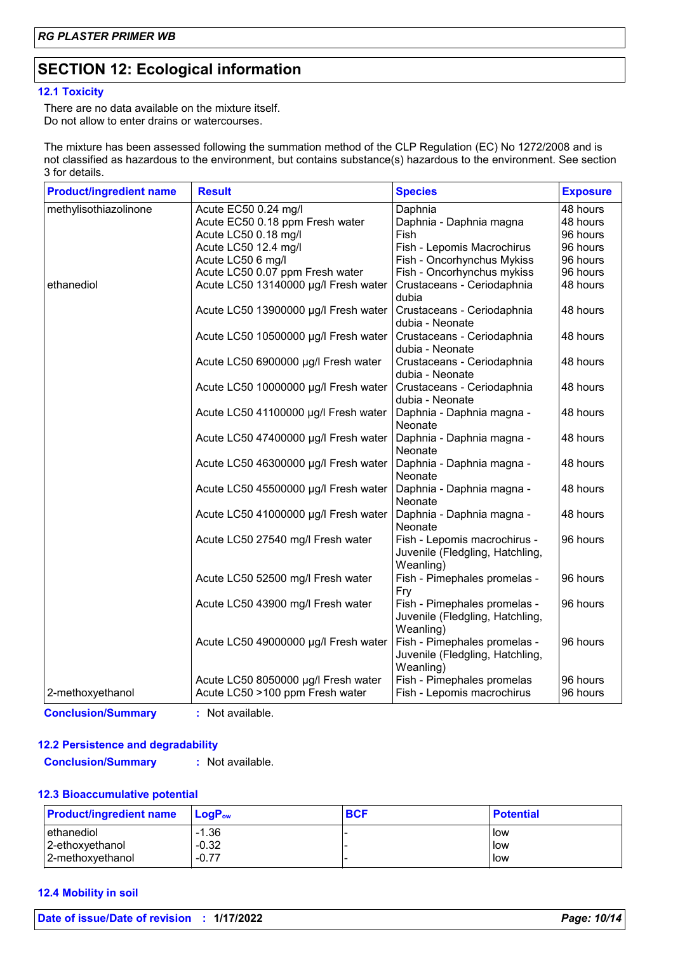# **SECTION 12: Ecological information**

### **12.1 Toxicity**

There are no data available on the mixture itself. Do not allow to enter drains or watercourses.

The mixture has been assessed following the summation method of the CLP Regulation (EC) No 1272/2008 and is not classified as hazardous to the environment, but contains substance(s) hazardous to the environment. See section 3 for details.

| <b>Product/ingredient name</b> | <b>Result</b>                                                          | <b>Species</b>                                                                            | <b>Exposure</b>      |
|--------------------------------|------------------------------------------------------------------------|-------------------------------------------------------------------------------------------|----------------------|
| methylisothiazolinone          | Acute EC50 0.24 mg/l                                                   | Daphnia                                                                                   | 48 hours             |
|                                | Acute EC50 0.18 ppm Fresh water                                        | Daphnia - Daphnia magna                                                                   | 48 hours             |
|                                | Acute LC50 0.18 mg/l                                                   | Fish                                                                                      | 96 hours             |
|                                | Acute LC50 12.4 mg/l                                                   | Fish - Lepomis Macrochirus                                                                | 96 hours             |
|                                | Acute LC50 6 mg/l                                                      | Fish - Oncorhynchus Mykiss                                                                | 96 hours             |
|                                | Acute LC50 0.07 ppm Fresh water                                        | Fish - Oncorhynchus mykiss                                                                | 96 hours             |
| ethanediol                     | Acute LC50 13140000 µg/l Fresh water                                   | Crustaceans - Ceriodaphnia<br>dubia                                                       | 48 hours             |
|                                | Acute LC50 13900000 µg/l Fresh water                                   | Crustaceans - Ceriodaphnia<br>dubia - Neonate                                             | 48 hours             |
|                                | Acute LC50 10500000 µg/l Fresh water                                   | Crustaceans - Ceriodaphnia<br>dubia - Neonate                                             | 48 hours             |
|                                | Acute LC50 6900000 µg/l Fresh water                                    | Crustaceans - Ceriodaphnia<br>dubia - Neonate                                             | 48 hours             |
|                                | Acute LC50 10000000 µg/l Fresh water                                   | Crustaceans - Ceriodaphnia<br>dubia - Neonate                                             | 48 hours             |
|                                | Acute LC50 41100000 µg/l Fresh water                                   | Daphnia - Daphnia magna -<br>Neonate                                                      | 48 hours             |
|                                | Acute LC50 47400000 µg/l Fresh water                                   | Daphnia - Daphnia magna -<br>Neonate                                                      | 48 hours             |
|                                | Acute LC50 46300000 µg/l Fresh water                                   | Daphnia - Daphnia magna -<br>Neonate                                                      | 48 hours             |
|                                | Acute LC50 45500000 µg/l Fresh water                                   | Daphnia - Daphnia magna -<br>Neonate                                                      | 48 hours             |
|                                | Acute LC50 41000000 µg/l Fresh water                                   | Daphnia - Daphnia magna -<br>Neonate                                                      | 48 hours             |
|                                | Acute LC50 27540 mg/l Fresh water                                      | Fish - Lepomis macrochirus -<br>Juvenile (Fledgling, Hatchling,<br>Weanling)              | 96 hours             |
|                                | Acute LC50 52500 mg/l Fresh water                                      | Fish - Pimephales promelas -<br>Fry                                                       | 96 hours             |
|                                | Acute LC50 43900 mg/l Fresh water                                      | Fish - Pimephales promelas -<br>Juvenile (Fledgling, Hatchling,                           | 96 hours             |
|                                | Acute LC50 49000000 µg/l Fresh water                                   | Weanling)<br>Fish - Pimephales promelas -<br>Juvenile (Fledgling, Hatchling,<br>Weanling) | 96 hours             |
| 2-methoxyethanol               | Acute LC50 8050000 µg/l Fresh water<br>Acute LC50 >100 ppm Fresh water | Fish - Pimephales promelas<br>Fish - Lepomis macrochirus                                  | 96 hours<br>96 hours |

**Conclusion/Summary :** Not available.

### **12.2 Persistence and degradability**

**Conclusion/Summary :** Not available.

### **12.3 Bioaccumulative potential**

| <b>Product/ingredient name</b> | <b>LogP</b> <sub>ow</sub> | <b>BCF</b> | <b>Potential</b> |
|--------------------------------|---------------------------|------------|------------------|
| ethanediol                     | -1.36                     |            | low              |
| 2-ethoxyethanol                | $-0.32$                   |            | low              |
| 2-methoxyethanol               | $-0.77$                   |            | llow             |

### **12.4 Mobility in soil**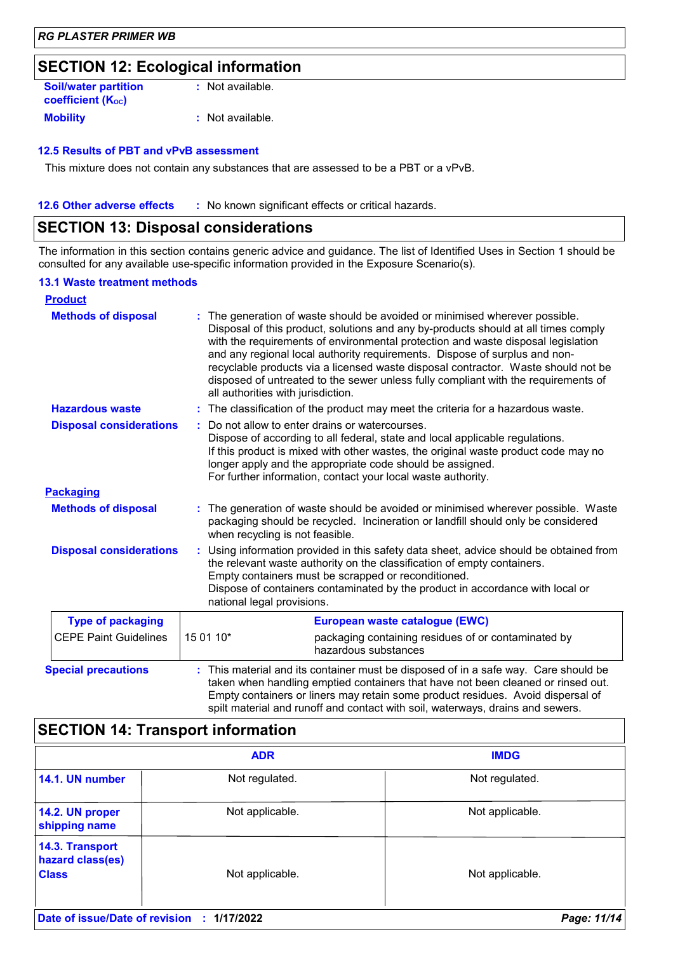# **SECTION 12: Ecological information**

| <b>Soil/water partition</b> | : Not available. |
|-----------------------------|------------------|
| <b>coefficient (Koc)</b>    |                  |
| <b>Mobility</b>             | : Not available. |

### **12.5 Results of PBT and vPvB assessment**

This mixture does not contain any substances that are assessed to be a PBT or a vPvB.

**12.6 Other adverse effects** : No known significant effects or critical hazards.

### **SECTION 13: Disposal considerations**

The information in this section contains generic advice and guidance. The list of Identified Uses in Section 1 should be consulted for any available use-specific information provided in the Exposure Scenario(s).

### **13.1 Waste treatment methods**

| <b>Product</b>                 |                                                                                                                                                                                                                                                                                                                                                                                                                                                                                                                                                    |                                                                                                                                                                                                                                                                                                                                                  |  |  |
|--------------------------------|----------------------------------------------------------------------------------------------------------------------------------------------------------------------------------------------------------------------------------------------------------------------------------------------------------------------------------------------------------------------------------------------------------------------------------------------------------------------------------------------------------------------------------------------------|--------------------------------------------------------------------------------------------------------------------------------------------------------------------------------------------------------------------------------------------------------------------------------------------------------------------------------------------------|--|--|
| <b>Methods of disposal</b>     | The generation of waste should be avoided or minimised wherever possible.<br>Disposal of this product, solutions and any by-products should at all times comply<br>with the requirements of environmental protection and waste disposal legislation<br>and any regional local authority requirements. Dispose of surplus and non-<br>recyclable products via a licensed waste disposal contractor. Waste should not be<br>disposed of untreated to the sewer unless fully compliant with the requirements of<br>all authorities with jurisdiction. |                                                                                                                                                                                                                                                                                                                                                  |  |  |
| <b>Hazardous waste</b>         |                                                                                                                                                                                                                                                                                                                                                                                                                                                                                                                                                    | : The classification of the product may meet the criteria for a hazardous waste.                                                                                                                                                                                                                                                                 |  |  |
| <b>Disposal considerations</b> |                                                                                                                                                                                                                                                                                                                                                                                                                                                                                                                                                    | Do not allow to enter drains or watercourses.<br>Dispose of according to all federal, state and local applicable regulations.<br>If this product is mixed with other wastes, the original waste product code may no<br>longer apply and the appropriate code should be assigned.<br>For further information, contact your local waste authority. |  |  |
| <b>Packaging</b>               |                                                                                                                                                                                                                                                                                                                                                                                                                                                                                                                                                    |                                                                                                                                                                                                                                                                                                                                                  |  |  |
| <b>Methods of disposal</b>     | The generation of waste should be avoided or minimised wherever possible. Waste<br>packaging should be recycled. Incineration or landfill should only be considered<br>when recycling is not feasible.                                                                                                                                                                                                                                                                                                                                             |                                                                                                                                                                                                                                                                                                                                                  |  |  |
| <b>Disposal considerations</b> | : Using information provided in this safety data sheet, advice should be obtained from<br>the relevant waste authority on the classification of empty containers.<br>Empty containers must be scrapped or reconditioned.<br>Dispose of containers contaminated by the product in accordance with local or<br>national legal provisions.                                                                                                                                                                                                            |                                                                                                                                                                                                                                                                                                                                                  |  |  |
| <b>Type of packaging</b>       | European waste catalogue (EWC)                                                                                                                                                                                                                                                                                                                                                                                                                                                                                                                     |                                                                                                                                                                                                                                                                                                                                                  |  |  |
| <b>CEPE Paint Guidelines</b>   | 15 01 10*                                                                                                                                                                                                                                                                                                                                                                                                                                                                                                                                          | packaging containing residues of or contaminated by<br>hazardous substances                                                                                                                                                                                                                                                                      |  |  |
| <b>Special precautions</b>     |                                                                                                                                                                                                                                                                                                                                                                                                                                                                                                                                                    | This material and its container must be disposed of in a safe way. Care should be<br>taken when handling emptied containers that have not been cleaned or rinsed out.<br>Empty containers or liners may retain some product residues. Avoid dispersal of<br>spilt material and runoff and contact with soil, waterways, drains and sewers.       |  |  |

# **SECTION 14: Transport information**

|                                                     | <b>ADR</b>      | <b>IMDG</b>     |
|-----------------------------------------------------|-----------------|-----------------|
| 14.1. UN number                                     | Not regulated.  | Not regulated.  |
| 14.2. UN proper<br>shipping name                    | Not applicable. | Not applicable. |
| 14.3. Transport<br>hazard class(es)<br><b>Class</b> | Not applicable. | Not applicable. |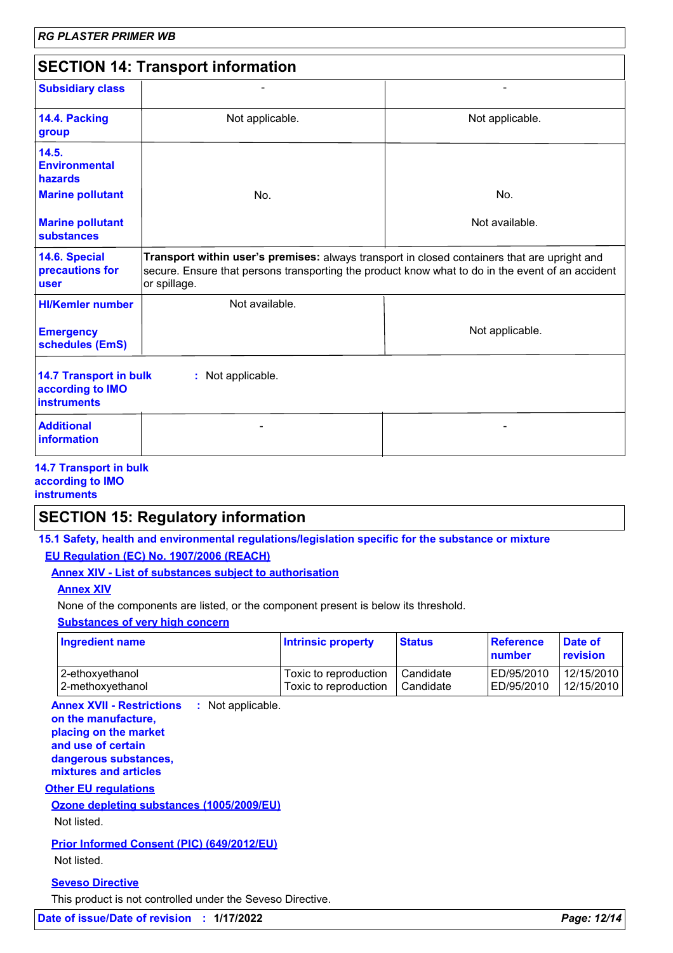| <b>SECTION 14: Transport information</b>                                |                                                                                                                                                                                                                  |                 |  |
|-------------------------------------------------------------------------|------------------------------------------------------------------------------------------------------------------------------------------------------------------------------------------------------------------|-----------------|--|
| <b>Subsidiary class</b>                                                 |                                                                                                                                                                                                                  |                 |  |
| 14.4. Packing<br>group                                                  | Not applicable.                                                                                                                                                                                                  | Not applicable. |  |
| 14.5.<br><b>Environmental</b><br>hazards                                |                                                                                                                                                                                                                  |                 |  |
| <b>Marine pollutant</b>                                                 | No.                                                                                                                                                                                                              | No.             |  |
| <b>Marine pollutant</b><br><b>substances</b>                            |                                                                                                                                                                                                                  | Not available.  |  |
| 14.6. Special<br>precautions for<br><b>user</b>                         | Transport within user's premises: always transport in closed containers that are upright and<br>secure. Ensure that persons transporting the product know what to do in the event of an accident<br>or spillage. |                 |  |
| <b>HI/Kemler number</b>                                                 | Not available.                                                                                                                                                                                                   |                 |  |
| <b>Emergency</b><br>schedules (EmS)                                     |                                                                                                                                                                                                                  | Not applicable. |  |
| <b>14.7 Transport in bulk</b><br>according to IMO<br><b>instruments</b> | : Not applicable.                                                                                                                                                                                                |                 |  |
| <b>Additional</b><br>information                                        |                                                                                                                                                                                                                  |                 |  |

#### **14.7 Transport in bulk according to IMO instruments**

# **SECTION 15: Regulatory information**

**15.1 Safety, health and environmental regulations/legislation specific for the substance or mixture EU Regulation (EC) No. 1907/2006 (REACH)**

**Annex XIV - List of substances subject to authorisation**

### **Annex XIV**

None of the components are listed, or the component present is below its threshold.

**Substances of very high concern**

| <b>Ingredient name</b> | <b>Intrinsic property</b> | <b>Status</b> | Reference<br>number | <b>Date of</b><br>revision |
|------------------------|---------------------------|---------------|---------------------|----------------------------|
| 2-ethoxyethanol        | Toxic to reproduction     | Candidate     | ED/95/2010          | 12/15/2010                 |
| 2-methoxyethanol       | Toxic to reproduction     | Candidate     | ED/95/2010          | 12/15/2010                 |

**Annex XVII - Restrictions : Not applicable. on the manufacture, placing on the market and use of certain dangerous substances, mixtures and articles**

### **Other EU regulations**

### **Ozone depleting substances (1005/2009/EU)**

Not listed.

**Prior Informed Consent (PIC) (649/2012/EU)**

Not listed.

### **Seveso Directive**

This product is not controlled under the Seveso Directive.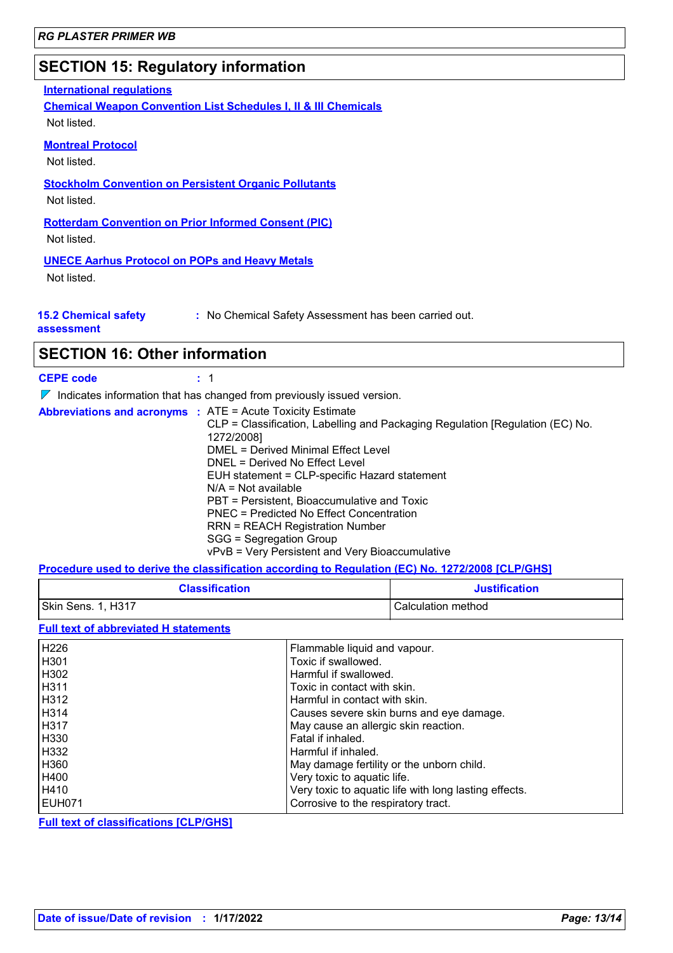# **SECTION 15: Regulatory information**

### **International regulations**

**Chemical Weapon Convention List Schedules I, II & III Chemicals** Not listed.

### **Montreal Protocol**

Not listed.

**Stockholm Convention on Persistent Organic Pollutants**

Not listed.

**Rotterdam Convention on Prior Informed Consent (PIC)** Not listed.

### **UNECE Aarhus Protocol on POPs and Heavy Metals**

Not listed.

|  | <b>15.2 Chemical safety</b> |  |
|--|-----------------------------|--|
|  | accoccmont                  |  |

**:** No Chemical Safety Assessment has been carried out.

**assessment**

### **SECTION 16: Other information**

| <b>CEPE code</b> |  |
|------------------|--|
|                  |  |

 $\nabla$  Indicates information that has changed from previously issued version.

| <b>Abbreviations and acronyms : ATE = Acute Toxicity Estimate</b>             |
|-------------------------------------------------------------------------------|
| CLP = Classification, Labelling and Packaging Regulation [Regulation (EC) No. |
| 1272/2008]                                                                    |
| DMEL = Derived Minimal Effect Level                                           |
| DNEL = Derived No Effect Level                                                |
| EUH statement = CLP-specific Hazard statement                                 |
| $N/A = Not available$                                                         |
| PBT = Persistent, Bioaccumulative and Toxic                                   |
| PNEC = Predicted No Effect Concentration                                      |
| RRN = REACH Registration Number                                               |
| SGG = Segregation Group                                                       |
| vPvB = Very Persistent and Very Bioaccumulative                               |

### **Procedure used to derive the classification according to Regulation (EC) No. 1272/2008 [CLP/GHS]**

| <b>Classification</b> | <b>Justification</b> |
|-----------------------|----------------------|
| Skin Sens. 1, H317    | l Calculation method |

### **Full text of abbreviated H statements**

| H <sub>226</sub> | Flammable liquid and vapour.                          |
|------------------|-------------------------------------------------------|
| H <sub>301</sub> | Toxic if swallowed.                                   |
| H <sub>302</sub> | Harmful if swallowed.                                 |
| H <sub>311</sub> | Toxic in contact with skin.                           |
| H312             | Harmful in contact with skin.                         |
| H314             | Causes severe skin burns and eye damage.              |
| H317             | May cause an allergic skin reaction.                  |
| H330             | Fatal if inhaled.                                     |
| H332             | Harmful if inhaled.                                   |
| H360             | May damage fertility or the unborn child.             |
| H400             | Very toxic to aquatic life.                           |
| H410             | Very toxic to aquatic life with long lasting effects. |
| EUH071           | Corrosive to the respiratory tract.                   |

**Full text of classifications [CLP/GHS]**